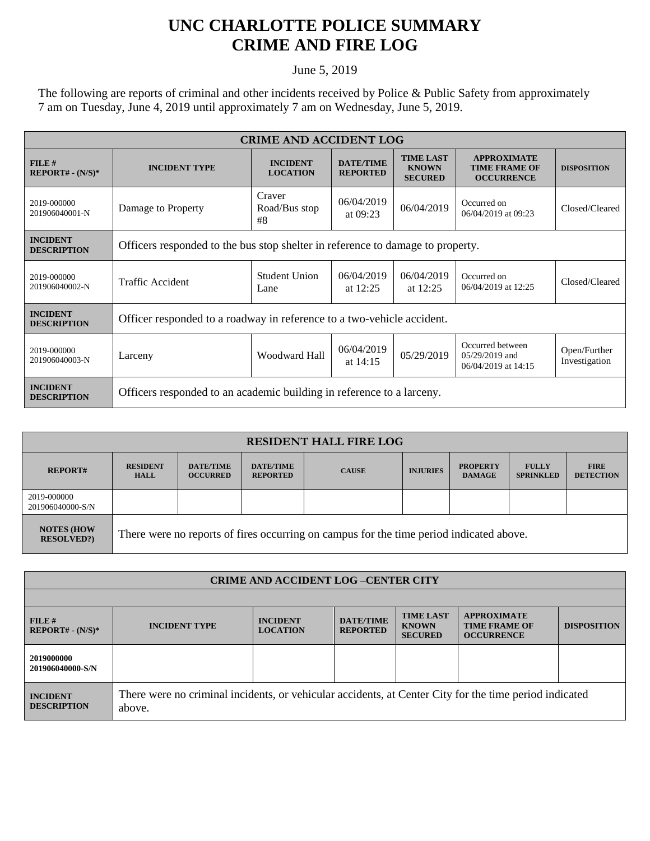## **UNC CHARLOTTE POLICE SUMMARY CRIME AND FIRE LOG**

June 5, 2019

The following are reports of criminal and other incidents received by Police & Public Safety from approximately 7 am on Tuesday, June 4, 2019 until approximately 7 am on Wednesday, June 5, 2019.

| <b>CRIME AND ACCIDENT LOG</b>         |                                                                                |                                    |                                     |                                                    |                                                                 |                               |  |  |
|---------------------------------------|--------------------------------------------------------------------------------|------------------------------------|-------------------------------------|----------------------------------------------------|-----------------------------------------------------------------|-------------------------------|--|--|
| FILE#<br>$REPORT# - (N/S)*$           | <b>INCIDENT TYPE</b>                                                           | <b>INCIDENT</b><br><b>LOCATION</b> | <b>DATE/TIME</b><br><b>REPORTED</b> | <b>TIME LAST</b><br><b>KNOWN</b><br><b>SECURED</b> | <b>APPROXIMATE</b><br><b>TIME FRAME OF</b><br><b>OCCURRENCE</b> | <b>DISPOSITION</b>            |  |  |
| 2019-000000<br>201906040001-N         | Damage to Property                                                             | Craver<br>Road/Bus stop<br>#8      | 06/04/2019<br>at $09:23$            | 06/04/2019                                         | Occurred on<br>06/04/2019 at 09:23                              | Closed/Cleared                |  |  |
| <b>INCIDENT</b><br><b>DESCRIPTION</b> | Officers responded to the bus stop shelter in reference to damage to property. |                                    |                                     |                                                    |                                                                 |                               |  |  |
| 2019-000000<br>201906040002-N         | Traffic Accident                                                               | Student Union<br>Lane              | 06/04/2019<br>at $12:25$            | 06/04/2019<br>at $12:25$                           | Occurred on<br>06/04/2019 at 12:25                              | Closed/Cleared                |  |  |
| <b>INCIDENT</b><br><b>DESCRIPTION</b> | Officer responded to a roadway in reference to a two-vehicle accident.         |                                    |                                     |                                                    |                                                                 |                               |  |  |
| 2019-000000<br>201906040003-N         | Larceny                                                                        | Woodward Hall                      | 06/04/2019<br>at $14:15$            | 05/29/2019                                         | Occurred between<br>$0.5/29/2019$ and<br>06/04/2019 at 14:15    | Open/Further<br>Investigation |  |  |
| <b>INCIDENT</b><br><b>DESCRIPTION</b> | Officers responded to an academic building in reference to a larceny.          |                                    |                                     |                                                    |                                                                 |                               |  |  |

| <b>RESIDENT HALL FIRE LOG</b>         |                                                                                         |                                     |                                     |              |                 |                                  |                                  |                                 |
|---------------------------------------|-----------------------------------------------------------------------------------------|-------------------------------------|-------------------------------------|--------------|-----------------|----------------------------------|----------------------------------|---------------------------------|
| <b>REPORT#</b>                        | <b>RESIDENT</b><br><b>HALL</b>                                                          | <b>DATE/TIME</b><br><b>OCCURRED</b> | <b>DATE/TIME</b><br><b>REPORTED</b> | <b>CAUSE</b> | <b>INJURIES</b> | <b>PROPERTY</b><br><b>DAMAGE</b> | <b>FULLY</b><br><b>SPRINKLED</b> | <b>FIRE</b><br><b>DETECTION</b> |
| 2019-000000<br>201906040000-S/N       |                                                                                         |                                     |                                     |              |                 |                                  |                                  |                                 |
| <b>NOTES (HOW</b><br><b>RESOLVED?</b> | There were no reports of fires occurring on campus for the time period indicated above. |                                     |                                     |              |                 |                                  |                                  |                                 |

| <b>CRIME AND ACCIDENT LOG-CENTER CITY</b> |                                                                                                                  |                                    |                                     |                                                    |                                                                 |                    |  |
|-------------------------------------------|------------------------------------------------------------------------------------------------------------------|------------------------------------|-------------------------------------|----------------------------------------------------|-----------------------------------------------------------------|--------------------|--|
|                                           |                                                                                                                  |                                    |                                     |                                                    |                                                                 |                    |  |
| FILE#<br>$REPORT# - (N/S)*$               | <b>INCIDENT TYPE</b>                                                                                             | <b>INCIDENT</b><br><b>LOCATION</b> | <b>DATE/TIME</b><br><b>REPORTED</b> | <b>TIME LAST</b><br><b>KNOWN</b><br><b>SECURED</b> | <b>APPROXIMATE</b><br><b>TIME FRAME OF</b><br><b>OCCURRENCE</b> | <b>DISPOSITION</b> |  |
| 2019000000<br>201906040000-S/N            |                                                                                                                  |                                    |                                     |                                                    |                                                                 |                    |  |
| <b>INCIDENT</b><br><b>DESCRIPTION</b>     | There were no criminal incidents, or vehicular accidents, at Center City for the time period indicated<br>above. |                                    |                                     |                                                    |                                                                 |                    |  |